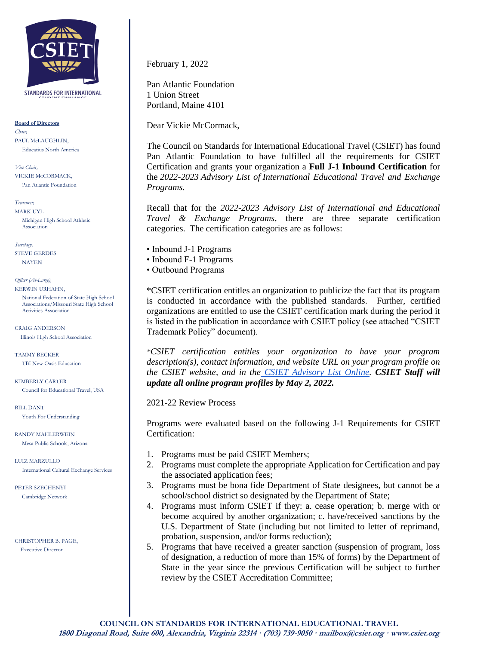

STANDARDS FOR INTERNATIONAL

**Board of Directors**

*Chair,* PAUL McLAUGHLIN, Educatius North America

*Vice Chair,* VICKIE McCORMACK, Pan Atlantic Foundation

*Treasurer,* MARK UYL

Michigan High School Athletic Association

*Secretary,*  STEVE GERDES NAYEN

*Officer (At-Large),* KERWIN URHAHN,

> National Federation of State High School Associations/Missouri State High School Activities Association

CRAIG ANDERSON Illinois High School Association

TAMMY BECKER TBI New Oasis Education

KIMBERLY CARTER Council for Educational Travel, USA

BILL DANT Youth For Understanding

RANDY MAHLERWEIN Mesa Public Schools, Arizona

LUIZ MARZULLO International Cultural Exchange Services

PETER SZECHENYI Cambridge Network

CHRISTOPHER B. PAGE, Executive Director

February 1, 2022

Pan Atlantic Foundation 1 Union Street Portland, Maine 4101

Dear Vickie McCormack,

The Council on Standards for International Educational Travel (CSIET) has found Pan Atlantic Foundation to have fulfilled all the requirements for CSIET Certification and grants your organization a **Full J-1 Inbound Certification** for the *2022-2023 Advisory List of International Educational Travel and Exchange Programs.*

Recall that for the *2022-2023 Advisory List of International and Educational Travel & Exchange Programs*, there are three separate certification categories. The certification categories are as follows:

• Inbound J-1 Programs

- Inbound F-1 Programs
- Outbound Programs

\*CSIET certification entitles an organization to publicize the fact that its program is conducted in accordance with the published standards. Further, certified organizations are entitled to use the CSIET certification mark during the period it is listed in the publication in accordance with CSIET policy (see attached "CSIET Trademark Policy" document).

*\*CSIET certification entitles your organization to have your program description(s), contact information, and website URL on your program profile on the CSIET website, and in the [CSIET Advisory List Online.](https://www.csiet.org/advisory-list/) CSIET Staff will update all online program profiles by May 2, 2022.*

## 2021-22 Review Process

Programs were evaluated based on the following J-1 Requirements for CSIET Certification:

- 1. Programs must be paid CSIET Members;
- 2. Programs must complete the appropriate Application for Certification and pay the associated application fees;
- 3. Programs must be bona fide Department of State designees, but cannot be a school/school district so designated by the Department of State;
- 4. Programs must inform CSIET if they: a. cease operation; b. merge with or become acquired by another organization; c. have/received sanctions by the U.S. Department of State (including but not limited to letter of reprimand, probation, suspension, and/or forms reduction);
- 5. Programs that have received a greater sanction (suspension of program, loss of designation, a reduction of more than 15% of forms) by the Department of State in the year since the previous Certification will be subject to further review by the CSIET Accreditation Committee;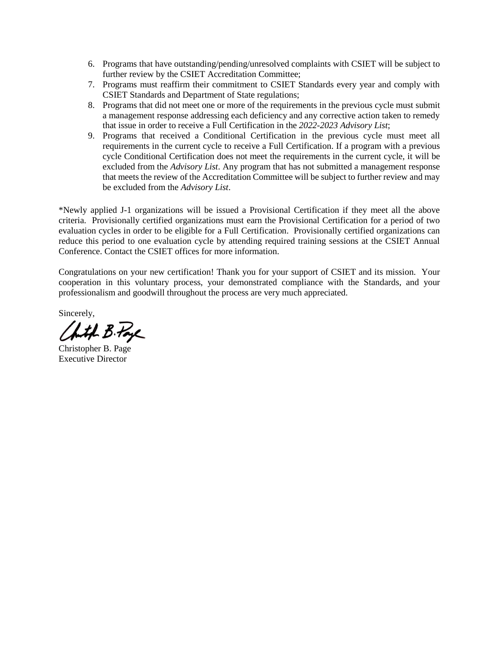- 6. Programs that have outstanding/pending/unresolved complaints with CSIET will be subject to further review by the CSIET Accreditation Committee;
- 7. Programs must reaffirm their commitment to CSIET Standards every year and comply with CSIET Standards and Department of State regulations;
- 8. Programs that did not meet one or more of the requirements in the previous cycle must submit a management response addressing each deficiency and any corrective action taken to remedy that issue in order to receive a Full Certification in the *2022-2023 Advisory List*;
- 9. Programs that received a Conditional Certification in the previous cycle must meet all requirements in the current cycle to receive a Full Certification. If a program with a previous cycle Conditional Certification does not meet the requirements in the current cycle, it will be excluded from the *Advisory List*. Any program that has not submitted a management response that meets the review of the Accreditation Committee will be subject to further review and may be excluded from the *Advisory List*.

\*Newly applied J-1 organizations will be issued a Provisional Certification if they meet all the above criteria. Provisionally certified organizations must earn the Provisional Certification for a period of two evaluation cycles in order to be eligible for a Full Certification. Provisionally certified organizations can reduce this period to one evaluation cycle by attending required training sessions at the CSIET Annual Conference. Contact the CSIET offices for more information.

Congratulations on your new certification! Thank you for your support of CSIET and its mission. Your cooperation in this voluntary process, your demonstrated compliance with the Standards, and your professionalism and goodwill throughout the process are very much appreciated.

Sincerely,

Chith B. Page

Christopher B. Page Executive Director